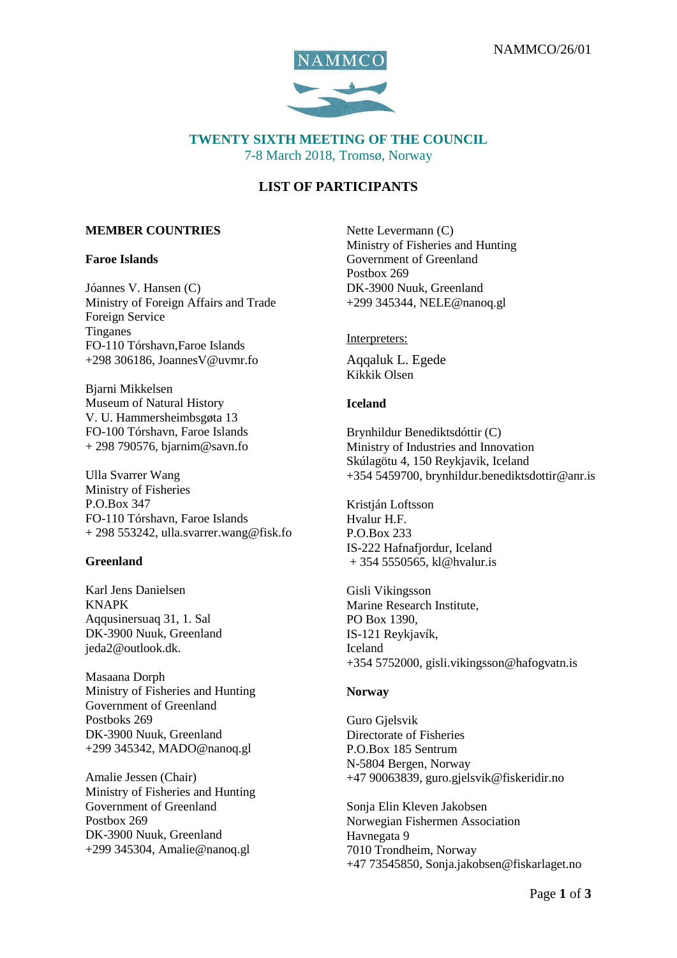

## **TWENTY SIXTH MEETING OF THE COUNCIL** 7-8 March 2018, Tromsø, Norway

# **LIST OF PARTICIPANTS**

#### **MEMBER COUNTRIES**

#### **Faroe Islands**

Jóannes V. Hansen (C) Ministry of Foreign Affairs and Trade Foreign Service **Tinganes** FO-110 Tórshavn,Faroe Islands  $+298$  306186, JoannesV@uvmr.fo

Bjarni Mikkelsen Museum of Natural History V. U. Hammersheimbsgøta 13 FO-100 Tórshavn, Faroe Islands + 298 790576, bjarnim@savn.fo

Ulla Svarrer Wang Ministry of Fisheries P.O.Box 347 FO-110 Tórshavn, Faroe Islands  $+ 298 553242$ , ulla.svarrer.wang@fisk.fo

#### **Greenland**

Karl Jens Danielsen KNAPK Aqqusinersuaq 31, 1. Sal DK-3900 Nuuk, Greenland [jeda2@outlook.dk.](mailto:jeda2@outlook.dk)

Masaana Dorph Ministry of Fisheries and Hunting Government of Greenland Postboks 269 DK-3900 Nuuk, Greenland +299 345342, [MADO@nanoq.gl](mailto:MADO@nanoq.gl)

Amalie Jessen (Chair) Ministry of Fisheries and Hunting Government of Greenland Postbox 269 DK-3900 Nuuk, Greenland +299 345304, [Amalie@nanoq.gl](mailto:Amalie@nanoq.gl)

Nette Levermann (C) Ministry of Fisheries and Hunting Government of Greenland Postbox 269 DK-3900 Nuuk, Greenland +299 345344[, NELE@nanoq.gl](mailto:NELE@nanoq.gl)

#### Interpreters:

Aqqaluk L. Egede Kikkik Olsen

#### **Iceland**

Brynhildur Benediktsdóttir (C) Ministry of Industries and Innovation Skúlagötu 4, 150 Reykjavik, Iceland +354 5459700, brynhildur.benediktsdottir@anr.is

Kristján Loftsson Hvalur H.F. P.O.Box 233 IS-222 Hafnafjordur, Iceland + 354 5550565, [kl@hvalur.is](mailto:kl@hvalur.is)

Gisli Vikingsson Marine Research Institute, PO Box 1390, IS-121 Reykjavík, Iceland +354 5752000, [gisli.vikingsson@hafogvatn.is](mailto:gisli.vikingsson@hafogvatn.is)

#### **Norway**

Guro Gielsvik Directorate of Fisheries P.O.Box 185 Sentrum N-5804 Bergen, Norway +47 90063839, guro.gjelsvik@fiskeridir.no

Sonja Elin Kleven Jakobsen Norwegian Fishermen Association Havnegata 9 7010 Trondheim, Norway +47 73545850, Sonja.jakobsen@fiskarlaget.no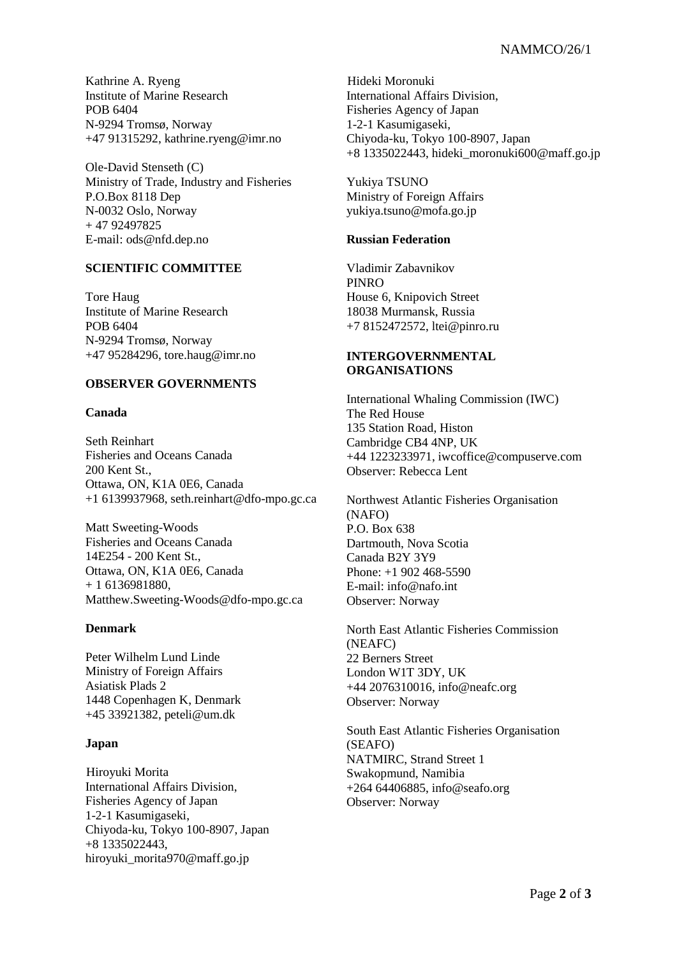Kathrine A. Ryeng Institute of Marine Research POB 6404 N-9294 Tromsø, Norway +47 91315292, [kathrine.ryeng@imr.no](mailto:kathrine.ryeng@imr.no)

Ole-David Stenseth (C) Ministry of Trade, Industry and Fisheries P.O.Box 8118 Dep N-0032 Oslo, Norway + 47 92497825 E-mail: ods@nfd.dep.no

## **SCIENTIFIC COMMITTEE**

Tore Haug Institute of Marine Research POB 6404 N-9294 Tromsø, Norway +47 95284296, [tore.haug@imr.no](mailto:tore.haug@imr.no)

### **OBSERVER GOVERNMENTS**

#### **Canada**

Seth Reinhart Fisheries and Oceans Canada 200 Kent St., Ottawa, ON, K1A 0E6, Canada +1 6139937968, seth.reinhart@dfo-mpo.gc.ca

Matt Sweeting-Woods Fisheries and Oceans Canada 14E254 - 200 Kent St., Ottawa, ON, K1A 0E6, Canada + 1 6136981880, Matthew.Sweeting-Woods@dfo-mpo.gc.ca

## **Denmark**

Peter Wilhelm Lund Linde Ministry of Foreign Affairs Asiatisk Plads 2 1448 Copenhagen K, Denmark +45 33921382, [peteli@um.dk](mailto:peteli@um.dk)

## **Japan**

Hiroyuki Morita International Affairs Division, Fisheries Agency of Japan 1-2-1 Kasumigaseki, Chiyoda-ku, Tokyo 100-8907, Japan +8 1335022443, hiroyuki morita970@maff.go.jp

Hideki Moronuki International Affairs Division, Fisheries Agency of Japan 1-2-1 Kasumigaseki, Chiyoda-ku, Tokyo 100-8907, Japan +8 1335022443[, hideki\\_moronuki600@maff.go.jp](mailto:hideki_moronuki600@maff.go.jp)

Yukiya TSUNO Ministry of Foreign Affairs [yukiya.tsuno@mofa.go.jp](mailto:yukiya.tsuno@mofa.go.jp)

### **Russian Federation**

Vladimir Zabavnikov PINRO House 6, Knipovich Street 18038 Murmansk, Russia +7 8152472572, ltei@pinro.ru

### **INTERGOVERNMENTAL ORGANISATIONS**

International Whaling Commission (IWC) The Red House 135 Station Road, Histon Cambridge CB4 4NP, UK +44 1223233971, iwcoffice@compuserve.com Observer: Rebecca Lent

Northwest Atlantic Fisheries Organisation (NAFO) P.O. Box 638 Dartmouth, Nova Scotia Canada B2Y 3Y9 Phone: +1 902 468-5590 E-mail: info@nafo.int Observer: Norway

North East Atlantic Fisheries Commission (NEAFC) 22 Berners Street London W1T 3DY, UK +44 2076310016, [info@neafc.org](mailto:info@neafc.org) Observer: Norway

South East Atlantic Fisheries Organisation (SEAFO) NATMIRC, Strand Street 1 Swakopmund, Namibia +264 64406885[, info@seafo.org](mailto:info@seafo.org) Observer: Norway